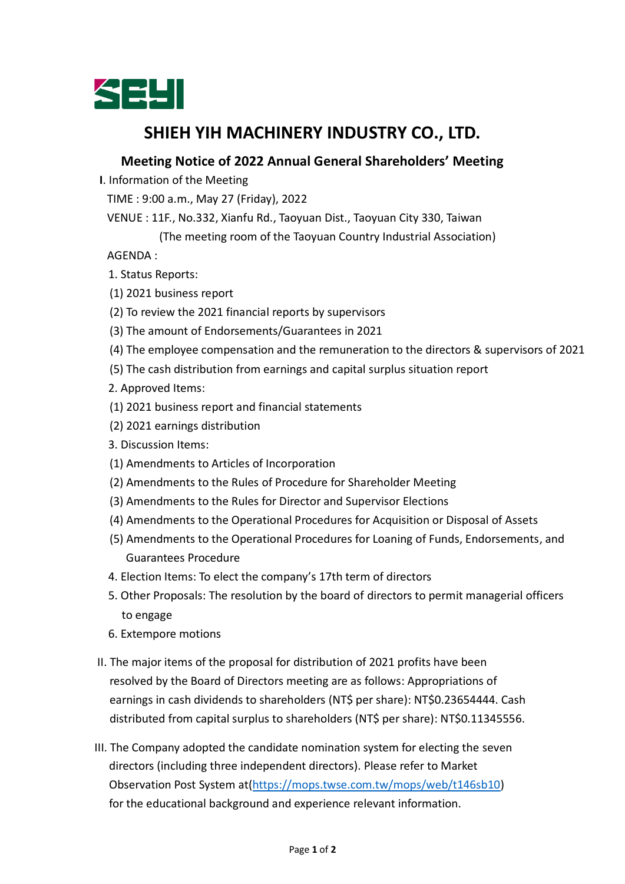

## **SHIEH YIH MACHINERY INDUSTRY CO., LTD.**

## **Meeting Notice of 2022 Annual General Shareholders' Meeting**

**I**. Information of the Meeting

TIME : 9:00 a.m., May 27 (Friday), 2022

VENUE : 11F., No.332, Xianfu Rd., Taoyuan Dist., Taoyuan City 330, Taiwan

(The meeting room of the Taoyuan Country Industrial Association)

AGENDA :

- 1. Status Reports:
- (1) 2021 business report
- (2) To review the 2021 financial reports by supervisors
- (3) The amount of Endorsements/Guarantees in 2021
- (4) The employee compensation and the remuneration to the directors & supervisors of 2021
- (5) The cash distribution from earnings and capital surplus situation report
- 2. Approved Items:
- (1) 2021 business report and financial statements
- (2) 2021 earnings distribution
- 3. Discussion Items:
- (1) Amendments to Articles of Incorporation
- (2) Amendments to the Rules of Procedure for Shareholder Meeting
- (3) Amendments to the Rules for Director and Supervisor Elections
- (4) Amendments to the Operational Procedures for Acquisition or Disposal of Assets
- (5) Amendments to the Operational Procedures for Loaning of Funds, Endorsements, and Guarantees Procedure
- 4. Election Items: To elect the company's 17th term of directors
- 5. Other Proposals: The resolution by the board of directors to permit managerial officers to engage
- 6. Extempore motions
- II. The major items of the proposal for distribution of 2021 profits have been resolved by the Board of Directors meeting are as follows: Appropriations of earnings in cash dividends to shareholders (NT\$ per share): NT\$0.23654444. Cash distributed from capital surplus to shareholders (NT\$ per share): NT\$0.11345556.
- III. The Company adopted the candidate nomination system for electing the seven directors (including three independent directors). Please refer to Market Observation Post System at[\(https://mops.twse.com.tw/mops/web/t146sb10\)](https://apc01.safelinks.protection.outlook.com/?url=https%3A%2F%2Fmops.twse.com.tw%2Fmops%2Fweb%2Ft146sb10&data=05%7C01%7Chans.wu%40seyi.com%7C137b870cbd2742137e0b08da2128912d%7C8052eecab86c497998d5b433e20c321b%7C0%7C0%7C637858755370056188%7CUnknown%7CTWFpbGZsb3d8eyJWIjoiMC4wLjAwMDAiLCJQIjoiV2luMzIiLCJBTiI6Ik1haWwiLCJXVCI6Mn0%3D%7C3000%7C%7C%7C&sdata=UBI3g11uRsl%2BCoEZml92pENnleKmCWrfQJSe46erDTI%3D&reserved=0) for the educational background and experience relevant information.